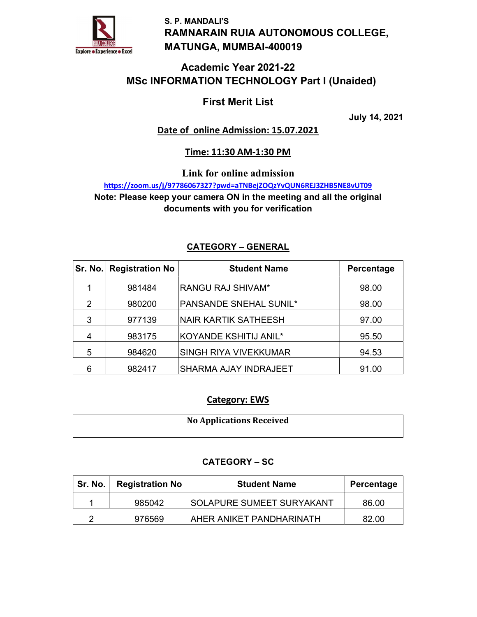

S. P. MANDALI'S RAMNARAIN RUIA AUTONOMOUS COLLEGE, MATUNGA, MUMBAI-400019

## Academic Year 2021-22 MSc INFORMATION TECHNOLOGY Part I (Unaided)

## First Merit List

July 14, 2021

## Date of online Admission: 15.07.2021

### Time: 11:30 AM-1:30 PM

Link for online admission

https://zoom.us/j/97786067327?pwd=aTNBejZOQzYvQUN6REJ3ZHB5NE8vUT09 Note: Please keep your camera ON in the meeting and all the original documents with you for verification

### CATEGORY – GENERAL

|               | Sr. No.   Registration No | <b>Student Name</b>           | Percentage |
|---------------|---------------------------|-------------------------------|------------|
|               | 981484                    | RANGU RAJ SHIVAM*             | 98.00      |
| $\mathcal{P}$ | 980200                    | <b>PANSANDE SNEHAL SUNIL*</b> | 98.00      |
| 3             | 977139                    | <b>NAIR KARTIK SATHEESH</b>   | 97.00      |
| 4             | 983175                    | KOYANDE KSHITIJ ANIL*         | 95.50      |
| 5             | 984620                    | <b>SINGH RIYA VIVEKKUMAR</b>  | 94.53      |
| 6             | 982417                    | <b>SHARMA AJAY INDRAJEET</b>  | 91.00      |

### Category: EWS

| <b>No Applications Received</b> |
|---------------------------------|
|                                 |

### CATEGORY – SC

| Sr. No.   Registration No | <b>Student Name</b>              | Percentage |
|---------------------------|----------------------------------|------------|
| 985042                    | <b>SOLAPURE SUMEET SURYAKANT</b> | 86.00      |
| 976569                    | <b>AHER ANIKET PANDHARINATH</b>  | 82.00      |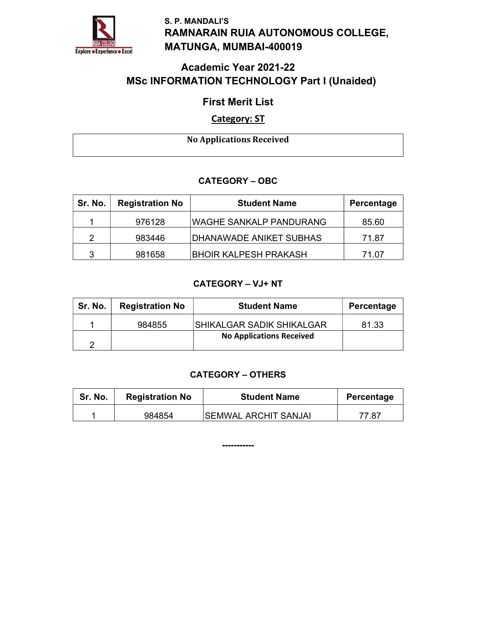

S. P. MANDALI'S RAMNARAIN RUIA AUTONOMOUS COLLEGE, MATUNGA, MUMBAI-400019

# Academic Year 2021-22 MSc INFORMATION TECHNOLOGY Part I (Unaided)

## First Merit List

## Category: ST

No Applications Received

### CATEGORY – OBC

| Sr. No.       | <b>Registration No</b> | <b>Student Name</b>            | Percentage |
|---------------|------------------------|--------------------------------|------------|
|               | 976128                 | WAGHE SANKALP PANDURANG        | 85.60      |
| $\mathcal{P}$ | 983446                 | <b>DHANAWADE ANIKET SUBHAS</b> | 71.87      |
| 3             | 981658                 | <b>BHOIR KALPESH PRAKASH</b>   | 71.07      |

## CATEGORY – VJ+ NT

| Sr. No. | <b>Registration No</b> | <b>Student Name</b>             | Percentage |
|---------|------------------------|---------------------------------|------------|
|         | 984855                 | SHIKALGAR SADIK SHIKALGAR       | 81.33      |
|         |                        | <b>No Applications Received</b> |            |

### CATEGORY – OTHERS

| Sr. No. | <b>Registration No</b> | <b>Student Name</b>          | Percentage |
|---------|------------------------|------------------------------|------------|
|         | 984854                 | <b>ISEMWAL ARCHIT SANJAI</b> | 77.87      |

-----------